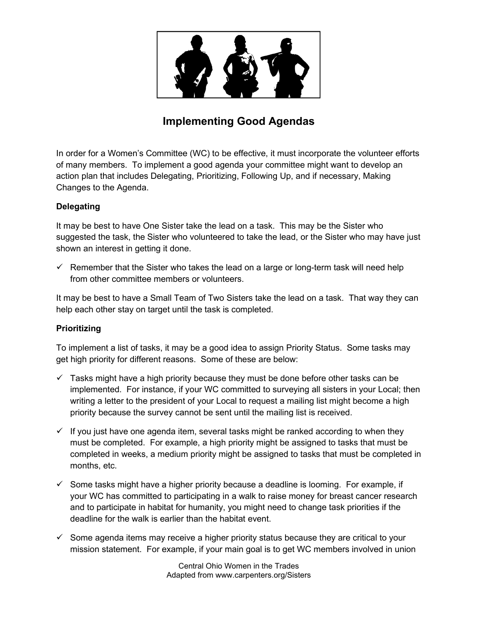

# **Implementing Good Agendas**

In order for a Women's Committee (WC) to be effective, it must incorporate the volunteer efforts of many members. To implement a good agenda your committee might want to develop an action plan that includes Delegating, Prioritizing, Following Up, and if necessary, Making Changes to the Agenda.

## **Delegating**

It may be best to have One Sister take the lead on a task. This may be the Sister who suggested the task, the Sister who volunteered to take the lead, or the Sister who may have just shown an interest in getting it done.

 $\checkmark$  Remember that the Sister who takes the lead on a large or long-term task will need help from other committee members or volunteers.

It may be best to have a Small Team of Two Sisters take the lead on a task. That way they can help each other stay on target until the task is completed.

## **Prioritizing**

To implement a list of tasks, it may be a good idea to assign Priority Status. Some tasks may get high priority for different reasons. Some of these are below:

- $\checkmark$  Tasks might have a high priority because they must be done before other tasks can be implemented. For instance, if your WC committed to surveying all sisters in your Local; then writing a letter to the president of your Local to request a mailing list might become a high priority because the survey cannot be sent until the mailing list is received.
- $\checkmark$  If you just have one agenda item, several tasks might be ranked according to when they must be completed. For example, a high priority might be assigned to tasks that must be completed in weeks, a medium priority might be assigned to tasks that must be completed in months, etc.
- $\checkmark$  Some tasks might have a higher priority because a deadline is looming. For example, if your WC has committed to participating in a walk to raise money for breast cancer research and to participate in habitat for humanity, you might need to change task priorities if the deadline for the walk is earlier than the habitat event.
- $\checkmark$  Some agenda items may receive a higher priority status because they are critical to your mission statement. For example, if your main goal is to get WC members involved in union

Central Ohio Women in the Trades Adapted from www.carpenters.org/Sisters